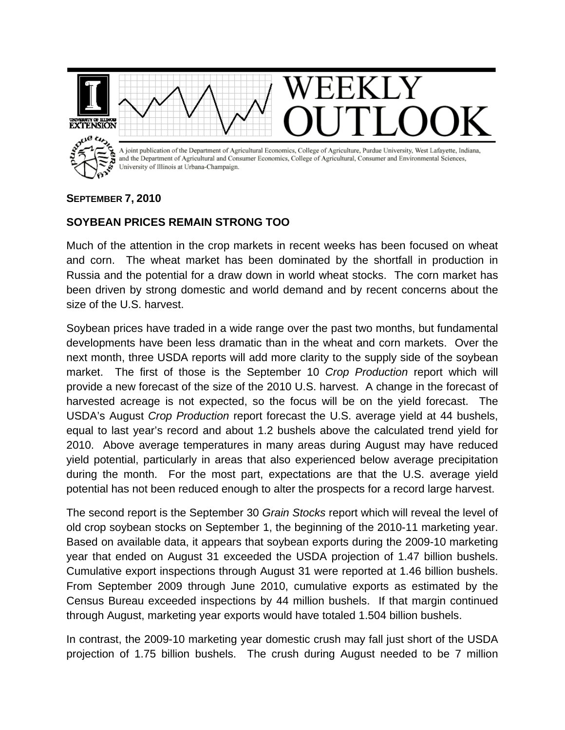

## **SEPTEMBER 7, 2010**

## **SOYBEAN PRICES REMAIN STRONG TOO**

Much of the attention in the crop markets in recent weeks has been focused on wheat and corn. The wheat market has been dominated by the shortfall in production in Russia and the potential for a draw down in world wheat stocks. The corn market has been driven by strong domestic and world demand and by recent concerns about the size of the U.S. harvest.

Soybean prices have traded in a wide range over the past two months, but fundamental developments have been less dramatic than in the wheat and corn markets. Over the next month, three USDA reports will add more clarity to the supply side of the soybean market. The first of those is the September 10 *Crop Production* report which will provide a new forecast of the size of the 2010 U.S. harvest. A change in the forecast of harvested acreage is not expected, so the focus will be on the yield forecast. The USDA's August *Crop Production* report forecast the U.S. average yield at 44 bushels, equal to last year's record and about 1.2 bushels above the calculated trend yield for 2010. Above average temperatures in many areas during August may have reduced yield potential, particularly in areas that also experienced below average precipitation during the month. For the most part, expectations are that the U.S. average yield potential has not been reduced enough to alter the prospects for a record large harvest.

The second report is the September 30 *Grain Stocks* report which will reveal the level of old crop soybean stocks on September 1, the beginning of the 2010-11 marketing year. Based on available data, it appears that soybean exports during the 2009-10 marketing year that ended on August 31 exceeded the USDA projection of 1.47 billion bushels. Cumulative export inspections through August 31 were reported at 1.46 billion bushels. From September 2009 through June 2010, cumulative exports as estimated by the Census Bureau exceeded inspections by 44 million bushels. If that margin continued through August, marketing year exports would have totaled 1.504 billion bushels.

In contrast, the 2009-10 marketing year domestic crush may fall just short of the USDA projection of 1.75 billion bushels. The crush during August needed to be 7 million